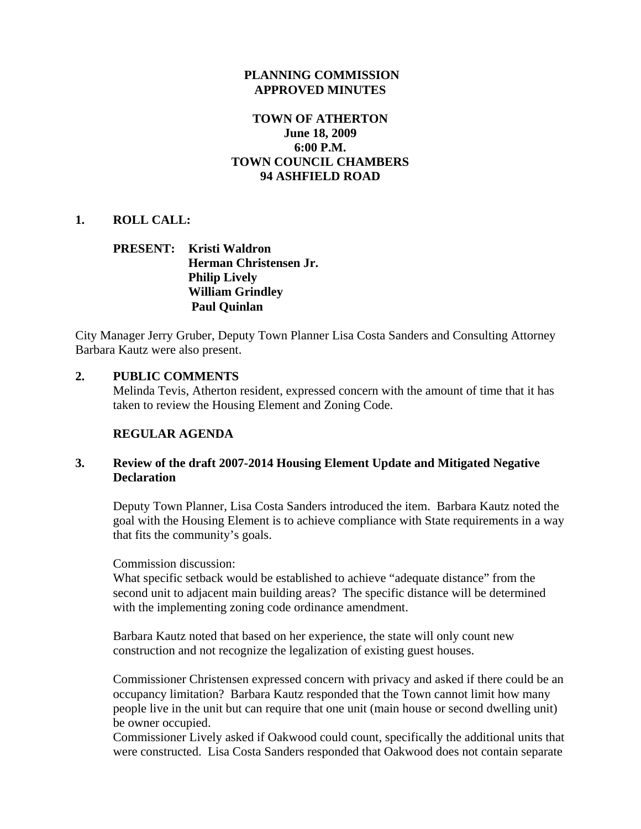## **PLANNING COMMISSION APPROVED MINUTES**

## **TOWN OF ATHERTON June 18, 2009 6:00 P.M. TOWN COUNCIL CHAMBERS 94 ASHFIELD ROAD**

## **1. ROLL CALL:**

# **PRESENT: Kristi Waldron Herman Christensen Jr. Philip Lively William Grindley Paul Quinlan**

City Manager Jerry Gruber, Deputy Town Planner Lisa Costa Sanders and Consulting Attorney Barbara Kautz were also present.

## **2. PUBLIC COMMENTS**

Melinda Tevis, Atherton resident, expressed concern with the amount of time that it has taken to review the Housing Element and Zoning Code.

# **REGULAR AGENDA**

# **3. Review of the draft 2007-2014 Housing Element Update and Mitigated Negative Declaration**

Deputy Town Planner, Lisa Costa Sanders introduced the item. Barbara Kautz noted the goal with the Housing Element is to achieve compliance with State requirements in a way that fits the community's goals.

Commission discussion:

What specific setback would be established to achieve "adequate distance" from the second unit to adjacent main building areas? The specific distance will be determined with the implementing zoning code ordinance amendment.

Barbara Kautz noted that based on her experience, the state will only count new construction and not recognize the legalization of existing guest houses.

Commissioner Christensen expressed concern with privacy and asked if there could be an occupancy limitation? Barbara Kautz responded that the Town cannot limit how many people live in the unit but can require that one unit (main house or second dwelling unit) be owner occupied.

Commissioner Lively asked if Oakwood could count, specifically the additional units that were constructed. Lisa Costa Sanders responded that Oakwood does not contain separate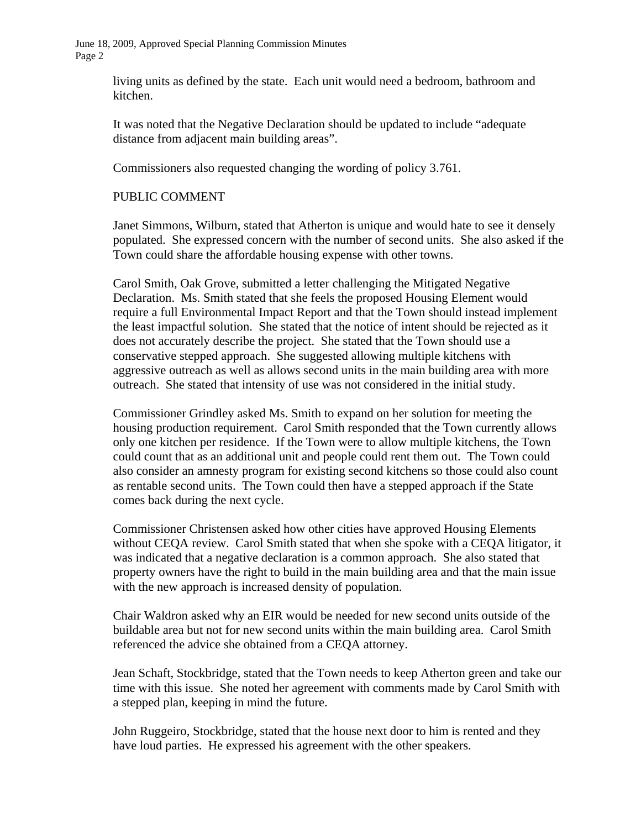June 18, 2009, Approved Special Planning Commission Minutes Page 2

> living units as defined by the state. Each unit would need a bedroom, bathroom and kitchen.

It was noted that the Negative Declaration should be updated to include "adequate distance from adjacent main building areas".

Commissioners also requested changing the wording of policy 3.761.

#### PUBLIC COMMENT

Janet Simmons, Wilburn, stated that Atherton is unique and would hate to see it densely populated. She expressed concern with the number of second units. She also asked if the Town could share the affordable housing expense with other towns.

Carol Smith, Oak Grove, submitted a letter challenging the Mitigated Negative Declaration. Ms. Smith stated that she feels the proposed Housing Element would require a full Environmental Impact Report and that the Town should instead implement the least impactful solution. She stated that the notice of intent should be rejected as it does not accurately describe the project. She stated that the Town should use a conservative stepped approach. She suggested allowing multiple kitchens with aggressive outreach as well as allows second units in the main building area with more outreach. She stated that intensity of use was not considered in the initial study.

Commissioner Grindley asked Ms. Smith to expand on her solution for meeting the housing production requirement. Carol Smith responded that the Town currently allows only one kitchen per residence. If the Town were to allow multiple kitchens, the Town could count that as an additional unit and people could rent them out. The Town could also consider an amnesty program for existing second kitchens so those could also count as rentable second units. The Town could then have a stepped approach if the State comes back during the next cycle.

Commissioner Christensen asked how other cities have approved Housing Elements without CEQA review. Carol Smith stated that when she spoke with a CEQA litigator, it was indicated that a negative declaration is a common approach. She also stated that property owners have the right to build in the main building area and that the main issue with the new approach is increased density of population.

Chair Waldron asked why an EIR would be needed for new second units outside of the buildable area but not for new second units within the main building area. Carol Smith referenced the advice she obtained from a CEQA attorney.

Jean Schaft, Stockbridge, stated that the Town needs to keep Atherton green and take our time with this issue. She noted her agreement with comments made by Carol Smith with a stepped plan, keeping in mind the future.

John Ruggeiro, Stockbridge, stated that the house next door to him is rented and they have loud parties. He expressed his agreement with the other speakers.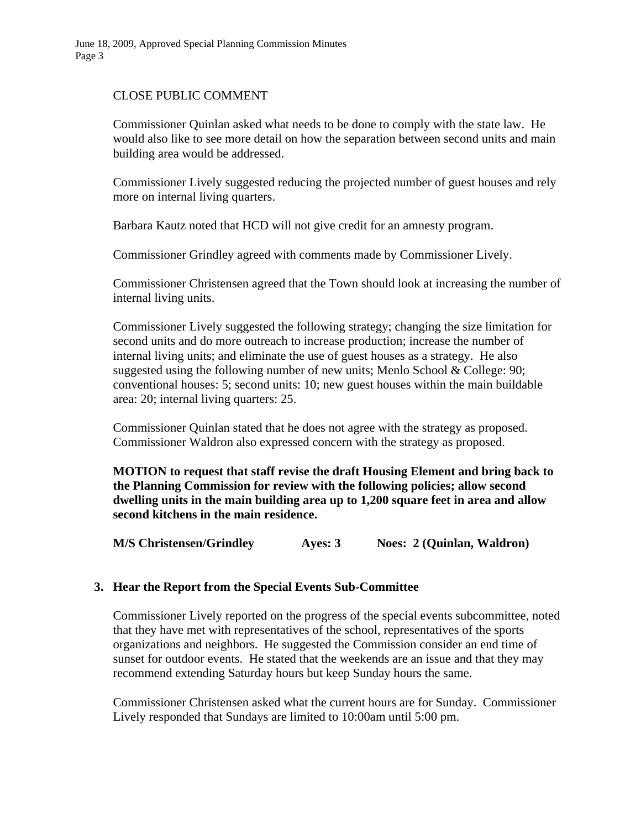## CLOSE PUBLIC COMMENT

Commissioner Quinlan asked what needs to be done to comply with the state law. He would also like to see more detail on how the separation between second units and main building area would be addressed.

Commissioner Lively suggested reducing the projected number of guest houses and rely more on internal living quarters.

Barbara Kautz noted that HCD will not give credit for an amnesty program.

Commissioner Grindley agreed with comments made by Commissioner Lively.

Commissioner Christensen agreed that the Town should look at increasing the number of internal living units.

Commissioner Lively suggested the following strategy; changing the size limitation for second units and do more outreach to increase production; increase the number of internal living units; and eliminate the use of guest houses as a strategy. He also suggested using the following number of new units; Menlo School & College: 90; conventional houses: 5; second units: 10; new guest houses within the main buildable area: 20; internal living quarters: 25.

Commissioner Quinlan stated that he does not agree with the strategy as proposed. Commissioner Waldron also expressed concern with the strategy as proposed.

**MOTION to request that staff revise the draft Housing Element and bring back to the Planning Commission for review with the following policies; allow second dwelling units in the main building area up to 1,200 square feet in area and allow second kitchens in the main residence.** 

**M/S Christensen/Grindley Ayes: 3 Noes: 2 (Quinlan, Waldron)** 

## **3. Hear the Report from the Special Events Sub-Committee**

Commissioner Lively reported on the progress of the special events subcommittee, noted that they have met with representatives of the school, representatives of the sports organizations and neighbors. He suggested the Commission consider an end time of sunset for outdoor events. He stated that the weekends are an issue and that they may recommend extending Saturday hours but keep Sunday hours the same.

Commissioner Christensen asked what the current hours are for Sunday. Commissioner Lively responded that Sundays are limited to 10:00am until 5:00 pm.